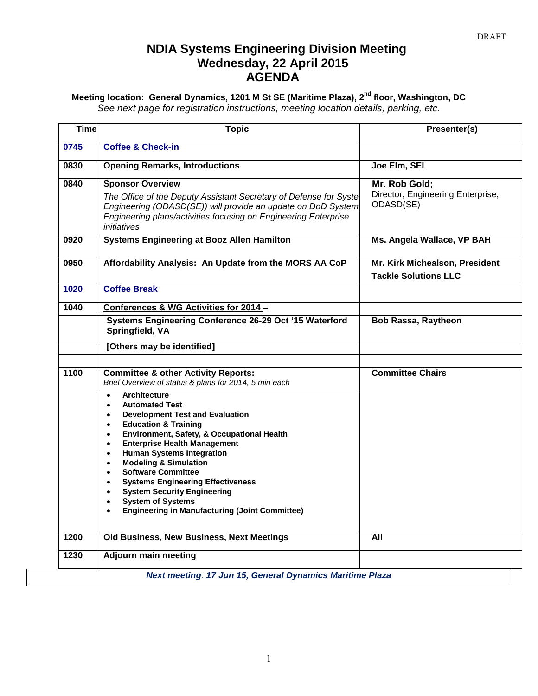### **NDIA Systems Engineering Division Meeting Wednesday, 22 April 2015 AGENDA**

#### **Meeting location: General Dynamics, 1201 M St SE (Maritime Plaza), 2nd floor, Washington, DC** *See next page for registration instructions, meeting location details, parking, etc.*

| <b>Time</b> | <b>Topic</b>                                                                                                                                                                                                                                   | Presenter(s)                                                    |
|-------------|------------------------------------------------------------------------------------------------------------------------------------------------------------------------------------------------------------------------------------------------|-----------------------------------------------------------------|
| 0745        | <b>Coffee &amp; Check-in</b>                                                                                                                                                                                                                   |                                                                 |
| 0830        | <b>Opening Remarks, Introductions</b>                                                                                                                                                                                                          | Joe Elm, SEI                                                    |
| 0840        | <b>Sponsor Overview</b><br>The Office of the Deputy Assistant Secretary of Defense for Syste<br>Engineering (ODASD(SE)) will provide an update on DoD System<br>Engineering plans/activities focusing on Engineering Enterprise<br>initiatives | Mr. Rob Gold;<br>Director, Engineering Enterprise,<br>ODASD(SE) |
| 0920        | <b>Systems Engineering at Booz Allen Hamilton</b>                                                                                                                                                                                              | Ms. Angela Wallace, VP BAH                                      |
| 0950        | Affordability Analysis: An Update from the MORS AA CoP                                                                                                                                                                                         | Mr. Kirk Michealson, President<br><b>Tackle Solutions LLC</b>   |
| 1020        | <b>Coffee Break</b>                                                                                                                                                                                                                            |                                                                 |
| 1040        | Conferences & WG Activities for 2014 -                                                                                                                                                                                                         |                                                                 |
|             | Systems Engineering Conference 26-29 Oct '15 Waterford<br>Springfield, VA                                                                                                                                                                      | <b>Bob Rassa, Raytheon</b>                                      |
|             | [Others may be identified]                                                                                                                                                                                                                     |                                                                 |
| 1100        | <b>Committee &amp; other Activity Reports:</b><br>Brief Overview of status & plans for 2014, 5 min each                                                                                                                                        | <b>Committee Chairs</b>                                         |
|             | <b>Architecture</b><br>$\bullet$<br><b>Automated Test</b><br>$\bullet$<br><b>Development Test and Evaluation</b><br>$\bullet$<br><b>Education &amp; Training</b><br>$\bullet$<br>Environment, Safety, & Occupational Health<br>$\bullet$       |                                                                 |
|             | <b>Enterprise Health Management</b><br>$\bullet$<br><b>Human Systems Integration</b><br>$\bullet$<br><b>Modeling &amp; Simulation</b><br>$\bullet$<br><b>Software Committee</b>                                                                |                                                                 |
|             | <b>Systems Engineering Effectiveness</b><br><b>System Security Engineering</b><br>$\bullet$<br><b>System of Systems</b><br><b>Engineering in Manufacturing (Joint Committee)</b>                                                               |                                                                 |
| 1200        | Old Business, New Business, Next Meetings                                                                                                                                                                                                      | All                                                             |
| 1230        | <b>Adjourn main meeting</b>                                                                                                                                                                                                                    |                                                                 |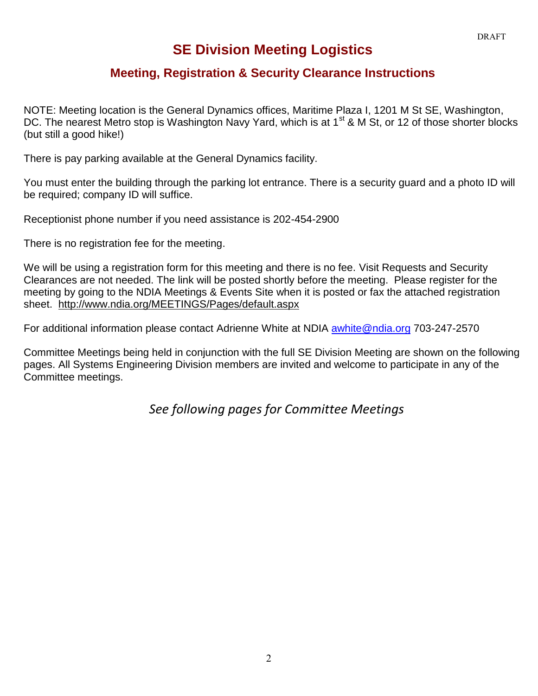## **SE Division Meeting Logistics**

### **Meeting, Registration & Security Clearance Instructions**

NOTE: Meeting location is the General Dynamics offices, Maritime Plaza I, 1201 M St SE, Washington, DC. The nearest Metro stop is Washington Navy Yard, which is at 1<sup>st</sup> & M St, or 12 of those shorter blocks (but still a good hike!)

There is pay parking available at the General Dynamics facility.

You must enter the building through the parking lot entrance. There is a security guard and a photo ID will be required: company ID will suffice.

Receptionist phone number if you need assistance is 202-454-2900

There is no registration fee for the meeting.

We will be using a registration form for this meeting and there is no fee. Visit Requests and Security Clearances are not needed. The link will be posted shortly before the meeting. Please register for the meeting by going to the NDIA Meetings & Events Site when it is posted or fax the attached registration sheet. <http://www.ndia.org/MEETINGS/Pages/default.aspx>

For additional information please contact Adrienne White at NDIA [awhite@ndia.org](mailto:awhite@ndia.org) 703-247-2570

Committee Meetings being held in conjunction with the full SE Division Meeting are shown on the following pages. All Systems Engineering Division members are invited and welcome to participate in any of the Committee meetings.

*See following pages for Committee Meetings*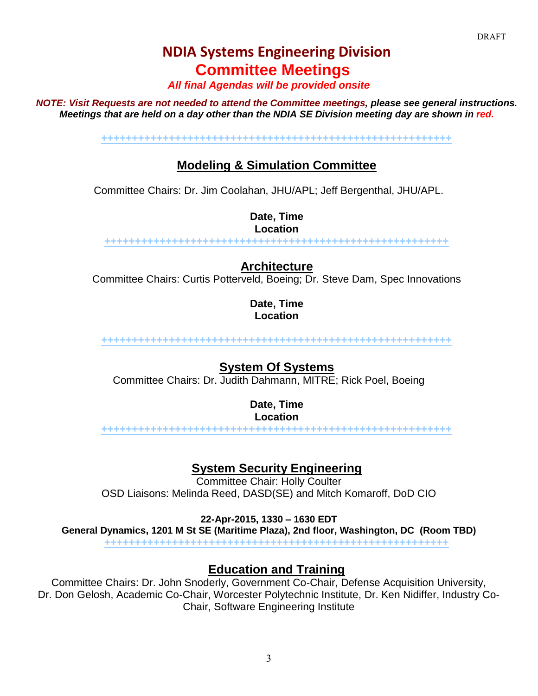# **NDIA Systems Engineering Division Committee Meetings**

*All final Agendas will be provided onsite*

*NOTE: Visit Requests are not needed to attend the Committee meetings, please see general instructions. Meetings that are held on a day other than the NDIA SE Division meeting day are shown in red.*

**+++++++++++++++++++++++++++++++++++++++++++++++++++++++++**

### **Modeling & Simulation Committee**

Committee Chairs: Dr. Jim Coolahan, JHU/APL; Jeff Bergenthal, JHU/APL.

**Date, Time Location**

**++++++++++++++++++++++++++++++++++++++++++++++++++++++++**

**Architecture**

Committee Chairs: Curtis Potterveld, Boeing; Dr. Steve Dam, Spec Innovations

**Date, Time Location**

**+++++++++++++++++++++++++++++++++++++++++++++++++++++++++**

**System Of Systems** Committee Chairs: Dr. Judith Dahmann, MITRE; Rick Poel, Boeing

> **Date, Time Location**

**+++++++++++++++++++++++++++++++++++++++++++++++++++++++++**

**System Security Engineering**

Committee Chair: Holly Coulter OSD Liaisons: Melinda Reed, DASD(SE) and Mitch Komaroff, DoD CIO

**22-Apr-2015, 1330 – 1630 EDT** 

**General Dynamics, 1201 M St SE (Maritime Plaza), 2nd floor, Washington, DC (Room TBD)**

**++++++++++++++++++++++++++++++++++++++++++++++++++++++++**

### **Education and Training**

Committee Chairs: Dr. John Snoderly, Government Co-Chair, Defense Acquisition University, Dr. Don Gelosh, Academic Co-Chair, Worcester Polytechnic Institute, Dr. Ken Nidiffer, Industry Co-Chair, Software Engineering Institute